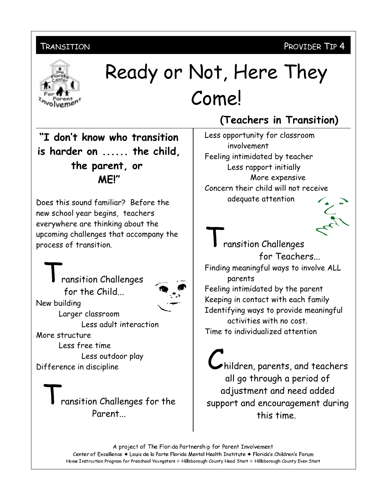#### TRANSITION

### PROVIDER TIP 4



# Ready or Not, Here They Come!

"I don't know who transition is harder on ...... the child, the parent, or MFI"

Does this sound familiar? Before the new school year begins, teachers everywhere are thinking about the upcoming challenges that accompany the process of transition.

ransition Challenges for the Child... New building Larger classroom Less adult interaction More structure

Less free time Less outdoor play Difference in discipline

> ransition Challenges for the Parent

## (Teachers in Transition)

Less opportunity for classroom involvement Feeling intimidated by teacher Less rapport initially More expensive Concern their child will not receive adequate attention



ransition Challenges for Teachers... Finding meaningful ways to involve ALL parents Feeling intimidated by the parent

Keeping in contact with each family Identifying ways to provide meaningful activities with no cost. Time to individualized attention

hildren, parents, and teachers all go through a period of adjustment and need added support and encouragement during this time.

A project of The Florida Partnership for Parent Involvement Center of Excellence + Louis de la Parte Florida Mental Health Institute + Florida's Children's Forum Home Instruction Program for Preschool Youngsters & Hillsborough County Head Start & Hillsborough County Even Start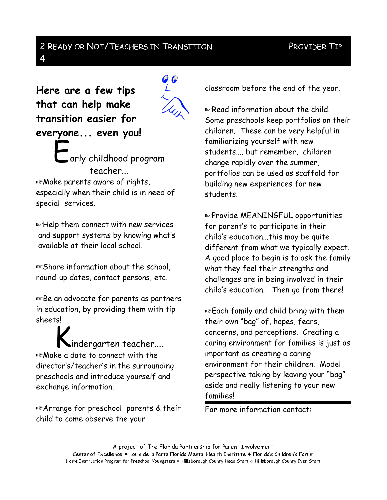## 2 READY OR NOT/TEACHERS IN TRANSITION

#### PROVIDER TIP

Here are a few tips that can help make transition easier for everyone... even you!

4



 $\Box$ arly childhood program teacher... **Example 2 December 2 December 2 December** 2 December 2 December 2 December 2 December 2 December 2 December 2 December 2 December 2 December 2 December 2 December 2 December 2 December 2 December 2 December 2 December 2 D especially when their child is in need of special services.

 $\mathbb{F}$ Help them connect with new services and support systems by knowing what's available at their local school.

Ess Share information about the school, round-up dates, contact persons, etc.

Es Be an advocate for parents as partners in education, by providing them with tip sheets!

indergarten teacher.... **Example 2 date to connect with the** director's/teacher's in the surrounding preschools and introduce yourself and exchange information.

**Example for preschool parents & their** child to come observe the your

classroom before the end of the year.

**Example 2 Read information about the child.** Some preschools keep portfolios on their children. These can be very helpful in familiarizing yourself with new students.... but remember, children change rapidly over the summer, portfolios can be used as scaffold for building new experiences for new students.

Es Provide MEANINGFUL opportunities for parent's to participate in their child's education...this may be quite different from what we typically expect. A good place to begin is to ask the family what they feel their strengths and challenges are in being involved in their child's education. Then go from there!

**Each family and child bring with them** their own "bag" of, hopes, fears, concerns, and perceptions. Creating a caring environment for families is just as important as creating a caring environment for their children. Model perspective taking by leaving your "bag" aside and really listening to your new families!

For more information contact:

A project of The Florida Partnership for Parent Involvement Center of Excellence + Louis de la Parte Florida Mental Health Institute + Florida's Children's Forum Home Instruction Program for Preschool Youngsters & Hillsborough County Head Start & Hillsborough County Even Start